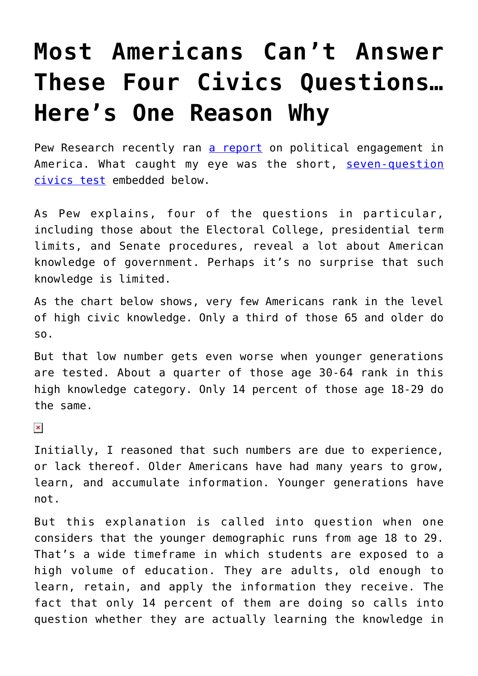## **[Most Americans Can't Answer](https://intellectualtakeout.org/2018/05/most-americans-cant-answer-these-four-civics-questions-heres-one-reason-why/) [These Four Civics Questions…](https://intellectualtakeout.org/2018/05/most-americans-cant-answer-these-four-civics-questions-heres-one-reason-why/) [Here's One Reason Why](https://intellectualtakeout.org/2018/05/most-americans-cant-answer-these-four-civics-questions-heres-one-reason-why/)**

Pew Research recently ran [a report](http://www.people-press.org/2018/04/26/10-political-engagement-knowledge-and-the-midterms/) on political engagement in America. What caught my eye was the short, [seven-question](http://www.people-press.org/quiz/what-do-you-know-about-the-u-s-government/) [civics test](http://www.people-press.org/quiz/what-do-you-know-about-the-u-s-government/) embedded below.

As Pew explains, four of the questions in particular, including those about the Electoral College, presidential term limits, and Senate procedures, reveal a lot about American knowledge of government. Perhaps it's no surprise that such knowledge is limited.

As the chart below shows, very few Americans rank in the level of high civic knowledge. Only a third of those 65 and older do so.

But that low number gets even worse when younger generations are tested. About a quarter of those age 30-64 rank in this high knowledge category. Only 14 percent of those age 18-29 do the same.

 $\pmb{\times}$ 

Initially, I reasoned that such numbers are due to experience, or lack thereof. Older Americans have had many years to grow, learn, and accumulate information. Younger generations have not.

But this explanation is called into question when one considers that the younger demographic runs from age 18 to 29. That's a wide timeframe in which students are exposed to a high volume of education. They are adults, old enough to learn, retain, and apply the information they receive. The fact that only 14 percent of them are doing so calls into question whether they are actually learning the knowledge in